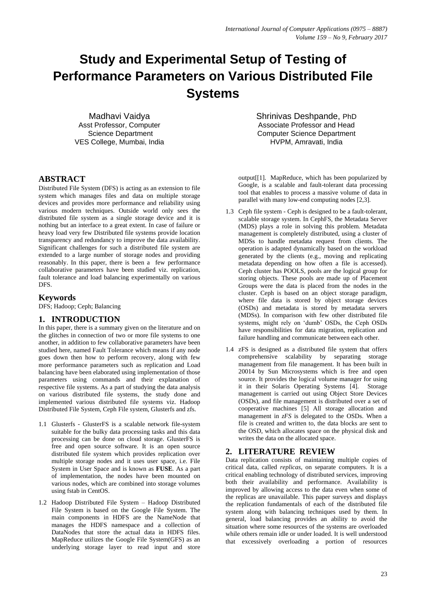# **Study and Experimental Setup of Testing of Performance Parameters on Various Distributed File Systems**

Madhavi Vaidya Asst Professor, Computer Science Department VES College, Mumbai, India

# **ABSTRACT**

Distributed File System (DFS) is acting as an extension to file system which manages files and data on multiple storage devices and provides more performance and reliability using various modern techniques. Outside world only sees the distributed file system as a single storage device and it is nothing but an interface to a great extent. In case of failure or heavy load very few Distributed file systems provide location transparency and redundancy to improve the data availability. Significant challenges for such a distributed file system are extended to a large number of storage nodes and providing reasonably. In this paper, there is been a few performance collaborative parameters have been studied viz. replication, fault tolerance and load balancing experimentally on various DFS.

# **Keywords**

DFS; Hadoop; Ceph; Balancing

# **1. INTRODUCTION**

In this paper, there is a summary given on the literature and on the glitches in connection of two or more file systems to one another, in addition to few collaborative parameters have been studied here, named Fault Tolerance which means if any node goes down then how to perform recovery, along with few more performance parameters such as replication and Load balancing have been elaborated using implementation of those parameters using commands and their explanation of respective file systems. As a part of studying the data analysis on various distributed file systems, the study done and implemented various distributed file systems viz. Hadoop Distributed File System, Ceph File system, Glusterfs and zfs.

- 1.1 Glusterfs GlusterFS is a scalable network file-system suitable for the bulky data processing tasks and this data processing can be done on cloud storage. GlusterFS is free and open source software. It is an open source distributed file system which provides replication over multiple storage nodes and it uses user space, i.e. File System in User Space and is known as **FUSE**. As a part of implementation, the nodes have been mounted on various nodes, which are combined into storage volumes using fstab in CentOS.
- 1.2 Hadoop Distributed File System Hadoop Distributed File System is based on the Google File System. The main components in HDFS are the NameNode that manages the HDFS namespace and a collection of DataNodes that store the actual data in HDFS files. MapReduce utilizes the Google File System(GFS) as an underlying storage layer to read input and store

Shrinivas Deshpande, PhD Associate Professor and Head Computer Science Department HVPM, Amravati, India

output[[1]. MapReduce, which has been popularized by Google, is a scalable and fault-tolerant data processing tool that enables to process a massive volume of data in parallel with many low-end computing nodes [2,3].

- 1.3 Ceph file system Ceph is designed to be a fault-tolerant, scalable storage system. In CephFS, the Metadata Server (MDS) plays a role in solving this problem. Metadata management is completely distributed, using a cluster of MDSs to handle metadata request from clients. The operation is adapted dynamically based on the workload generated by the clients (e.g., moving and replicating metadata depending on how often a file is accessed). Ceph cluster has POOLS, pools are the logical group for storing objects. These pools are made up of Placement Groups were the data is placed from the nodes in the cluster. Ceph is based on an object storage paradigm, where file data is stored by object storage devices (OSDs) and metadata is stored by metadata servers (MDSs). In comparison with few other distributed file systems, might rely on 'dumb' OSDs, the Ceph OSDs have responsibilities for data migration, replication and failure handling and communicate between each other.
- 1.4 zFS is designed as a distributed file system that offers comprehensive scalability by separating storage management from file management. It has been built in 20014 by Sun Microsystems which is free and open source. It provides the logical volume manager for using it in their Solaris Operating Systems [4]. Storage management is carried out using Object Store Devices (OSDs), and file management is distributed over a set of cooperative machines [5] All storage allocation and management in *zFS* is delegated to the OSDs. When a file is created and written to, the data blocks are sent to the OSD, which allocates space on the physical disk and writes the data on the allocated space.

# **2. LITERATURE REVIEW**

Data replication consists of maintaining multiple copies of critical data, called *replicas*, on separate computers. It is a critical enabling technology of distributed services, improving both their availability and performance. Availability is improved by allowing access to the data even when some of the replicas are unavailable. This paper surveys and displays the replication fundamentals of each of the distributed file system along with balancing techniques used by them. In general, load balancing provides an ability to avoid the situation where some resources of the systems are overloaded while others remain idle or under loaded. It is well understood that excessively overloading a portion of resources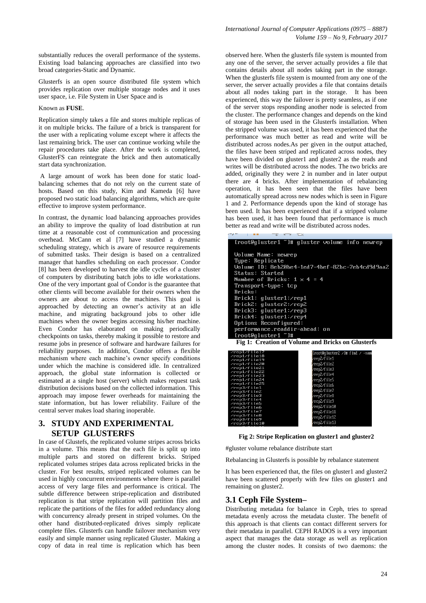substantially reduces the overall performance of the systems. Existing load balancing approaches are classified into two broad categories-Static and Dynamic.

Glusterfs is an open source distributed file system which provides replication over multiple storage nodes and it uses user space, i.e. File System in User Space and is

#### Known as **FUSE**.

Replication simply takes a file and stores multiple replicas of it on multiple bricks. The failure of a brick is transparent for the user with a replicating volume except where it affects the last remaining brick. The user can continue working while the repair procedures take place. After the work is completed, GlusterFS can reintegrate the brick and then automatically start data synchronization.

A large amount of work has been done for static loadbalancing schemes that do not rely on the current state of hosts. Based on this study, Kim and Kameda [6] have proposed two static load balancing algorithms, which are quite effective to improve system performance.

In contrast, the dynamic load balancing approaches provides an ability to improve the quality of load distribution at run time at a reasonable cost of communication and processing overhead. McCann et al [7] have studied a dynamic scheduling strategy, which is aware of resource requirements of submitted tasks. Their design is based on a centralized manager that handles scheduling on each processor. Condor [8] has been developed to harvest the idle cycles of a cluster of computers by distributing batch jobs to idle workstations. One of the very important goal of Condor is the guarantee that other clients will become available for their owners when the owners are about to access the machines. This goal is approached by detecting an owner's activity at an idle machine, and migrating background jobs to other idle machines when the owner begins accessing his/her machine. Even Condor has elaborated on making periodically checkpoints on tasks, thereby making it possible to restore and resume jobs in presence of software and hardware failures for reliability purposes. In addition, Condor offers a flexible mechanism where each machine's owner specify conditions under which the machine is considered idle. In centralized approach, the global state information is collected or estimated at a single host (server) which makes request task distribution decisions based on the collected information. This approach may impose fewer overheads for maintaining the state information, but has lower reliability. Failure of the central server makes load sharing inoperable.

# **3. STUDY AND EXPERIMENTAL SETUP GLUSTERFS**

In case of Glustefs, the replicated volume stripes across bricks in a volume. This means that the each file is split up into multiple parts and stored on different bricks. Striped replicated volumes stripes data across replicated bricks in the cluster. For best results, striped replicated volumes can be used in highly concurrent environments where there is parallel access of very large files and performance is critical. The subtle difference between stripe-replication and distributed replication is that stripe replication will partition files and replicate the partitions of the files for added redundancy along with concurrency already present in striped volumes. On the other hand distributed-replicated drives simply replicate complete files. Glusterfs can handle failover mechanism very easily and simple manner using replicated Gluster. Making a copy of data in real time is replication which has been

observed here. When the glusterfs file system is mounted from any one of the server, the server actually provides a file that contains details about all nodes taking part in the storage. When the glusterfs file system is mounted from any one of the server, the server actually provides a file that contains details about all nodes taking part in the storage. It has been experienced, this way the failover is pretty seamless, as if one of the server stops responding another node is selected from the cluster. The performance changes and depends on the kind of storage has been used in the Glusterfs installation. When the stripped volume was used, it has been experienced that the performance was much better as read and write will be distributed across nodes.As per given in the output attached, the files have been striped and replicated across nodes, they have been divided on gluster1 and gluster2 as the reads and writes will be distributed across the nodes. The two bricks are added, originally they were 2 in number and in later output there are 4 bricks. After implementation of rebalancing operation, it has been seen that the files have been automatically spread across new nodes which is seen in Figure 1 and 2. Performance depends upon the kind of storage has been used. It has been experienced that if a stripped volume has been used, it has been found that performance is much better as read and write will be distributed across nodes.

| [root@qluster1 "]# qluster volume info newrep   |
|-------------------------------------------------|
|                                                 |
| Volume Name: newrep                             |
| Tupe: Replicate                                 |
| Volume ID: 8eb20be4-1ed7-4bef-82bc-7eb4cd9d9aa2 |
| <b>Status: Started</b>                          |
| Number of Bricks: $1 \times 4 = 4$              |
| Transport-tupe: tcp                             |
| Bricks:                                         |
| $Brick1:$ qluster1: $\gamma$ rep1               |
| $Brick2:$ qluster2: $\gamma$ rep2               |
| $Brick3:$ qluster1: $\gamma$ rep3               |
| $Brick4:$ qluster1: $\gamma$ rep4               |
| Options Reconfigured:                           |
| performance.readdir-ahead: on                   |
| $IrootQq$ luster1 "]#                           |

**Fig 1: Creation of Volume and Bricks on Glusterfs**

| $\angle$ rep $1\angle f$ i le $17$  | [root@qluster2 $\angle$ ]# find $\angle$ -name |
|-------------------------------------|------------------------------------------------|
| $\angle$ rep $1/\text{f}$ i le $18$ | /rep2/file1                                    |
| $\chi$ rep $1/\text{f}$ ile19       |                                                |
| /rep1/file20                        | /rep2/file2                                    |
| $\angle$ rep1 $\angle$ f i le21     | /rep2/file3                                    |
| $\angle$ rep $1/\text{f}$ i le22    |                                                |
| $\angle$ rep $1/\text{f}$ ile $23$  | /rep2/file4                                    |
| $\angle$ rep $1/\text{f}$ ile24     | /rep2/file5                                    |
| $\angle$ rep1 $\angle$ f i le25     | /rep2/file6                                    |
| $\angle$ rep $3\angle f$ i le1      |                                                |
| $\angle$ rep $3\angle f$ i le $2$   | /rep2/file7                                    |
| $\nu$ rep $3\nu$ file3              | /rep2/file8                                    |
| $\nu$ rep $3\nu$ f i le4            | /rep2/file9                                    |
| $\angle$ rep $3\angle$ f i le $5$   |                                                |
| $\angle$ rep $3\angle f$ i leb      | /rep2/file10                                   |
| $\nu$ rep $3\nu$ file7              | /rep2/file11                                   |
| $\nu$ rep $3\nu$ file8              | /rep2/file12                                   |
| $\nu$ rep $3\nu$ f i le $9$         |                                                |
| $\angle$ rep $3\angle f$ i le10     | /rep2/file13                                   |
|                                     |                                                |

**Fig 2: Stripe Replication on gluster1 and gluster2**

#gluster volume rebalance distribute start

Rebalancing in Glusterfs is possible by rebalance statement

It has been experienced that, the files on gluster1 and gluster2 have been scattered properly with few files on gluster1 and remaining on gluster2.

#### **3.1 Ceph File System–**

Distributing metadata for balance in Ceph, tries to spread metadata evenly across the metadata cluster. The benefit of this approach is that clients can contact different servers for their metadata in parallel. CEPH RADOS is a very important aspect that manages the data storage as well as replication among the cluster nodes. It consists of two daemons: the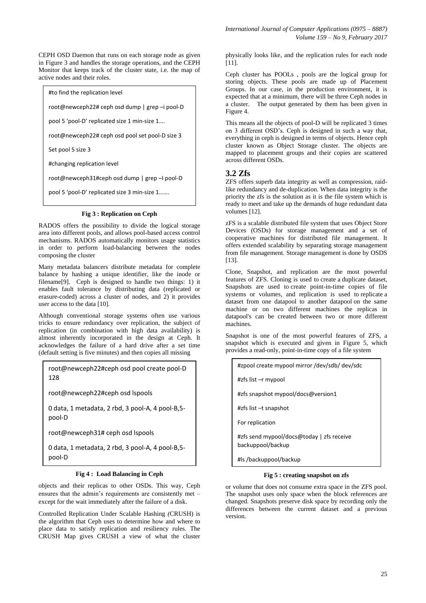CEPH OSD Daemon that runs on each storage node as given in Figure 3 and handles the storage operations, and the CEPH Monitor that keeps track of the cluster state, i.e. the map of active nodes and their roles.

#to find the replication level

root@newceph22# ceph osd dump | grep –i pool-D

pool 5 'pool-D' replicated size 1 min-size 1….

root@newceph22# ceph osd pool set pool-D size 3

Set pool 5 size 3

#changing replication level

root@newceph31#ceph osd dump | grep –I pool-D

pool 5 'pool-D' replicated size 3 min-size 1…….

#### **Fig 3 : Replication on Ceph**

RADOS offers the possibility to divide the logical storage area into different pools, and allows pool-based access control mechanisms. RADOS automatically monitors usage statistics in order to perform load-balancing between the nodes composing the cluster

Many metadata balancers distribute metadata for complete balance by hashing a unique identifier, like the inode or filename[9]. Ceph is designed to handle two things: 1) it enables fault tolerance by distributing data (replicated or erasure-coded) across a cluster of nodes, and 2) it provides user access to the data [10].

Although conventional storage systems often use various tricks to ensure redundancy over replication, the subject of replication (in combination with high data availability) is almost inherently incorporated in the design at Ceph. It acknowledges the failure of a hard drive after a set time (default setting is five minutes) and then copies all missing

root@newceph22#ceph osd pool create pool-D 128

root@newceph22#ceph osd lspools

0 data, 1 metadata, 2 rbd, 3 pool-A, 4 pool-B,5 pool-D

root@newceph31# ceph osd lspools

0 data, 1 metadata, 2 rbd, 3 pool-A, 4 pool-B,5 pool-D

#### **Fig 4 : Load Balancing in Ceph**

objects and their replicas to other OSDs. This way, Ceph<br>congures that the edmin's requirements are consistently met ensures that the admin's requirements are consistently met – except for the wait immediately after the failure of a disk.

Controlled Replication Under Scalable Hashing *(*CRUSH) is the algorithm that Ceph uses to determine how and where to place data to satisfy replication and resiliency rules. The CRUSH Map gives CRUSH a view of what the cluster

physically looks like, and the replication rules for each node [11].

Ceph cluster has POOLs , pools are the logical group for storing objects. These pools are made up of Placement Groups. In our case, in the production environment, it is expected that at a minimum, there will be three Ceph nodes in a cluster. The output generated by them has been given in Figure 4.

This means all the objects of pool-D will be replicated 3 times on 3 different OSD's. Ceph is designed in such a way that, everything in ceph is designed in terms of objects. Hence ceph cluster known as Object Storage cluster. The objects are mapped to placement groups and their copies are scattered across different OSDs.

# **3.2 Zfs**

ZFS offers superb data integrity as well as compression, raidlike redundancy and de-duplication. When data integrity is the priority the zfs is the solution as it is the file system which is ready to meet and take up the demands of huge redundant data volumes [12].

zFS is a scalable distributed file system that uses Object Store Devices (OSDs) for storage management and a set of cooperative machines for distributed file management. It offers extended scalability by separating storage management from file management. Storage management is done by OSDS [13].

Clone, Snapshot, and replication are the most powerful features of ZFS. Cloning is used to create a duplicate dataset, Snapshots are used to create point-in-time copies of file systems or volumes, and replication is used to replicate a dataset from one datapool to another datapool on the same machine or on two different machines the replicas in datapool's can be created between two or more different machines.

Snapshot is one of the most powerful features of ZFS, a snapshot which is executed and given in Figure 5, which provides a read-only, point-in-time copy of a file system

#zpool create mypool mirror /dev/sdb/ dev/sdc #zfs list –r mypool #zfs snapshot mypool/docs@version1 #zfs list –t snapshot For replication #zfs send mypool/docs@today | zfs receive backuppool/backup #ls /backuppool/backup

#### **Fig 5 : creating snapshot on zfs**

or volume that does not consume extra space in the ZFS pool. The snapshot uses only space when the block references are changed. Snapshots preserve disk space by recording only the differences between the current dataset and a previous version.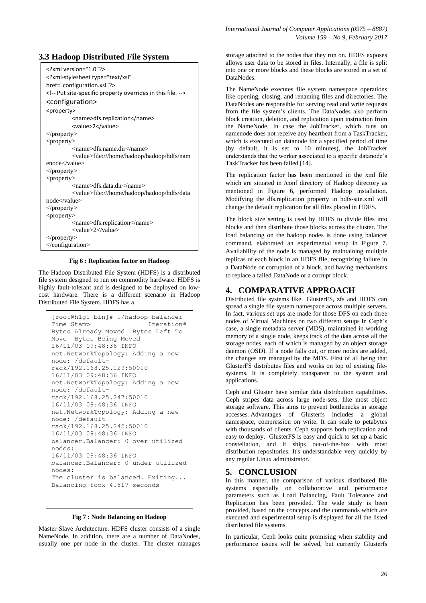```
<?xml version="1.0"?>
<?xml-stylesheet type="text/xsl" 
href="configuration.xsl"?>
<!-- Put site-specific property overrides in this file. -->
<configuration>
<property>
         <name>dfs.replication</name>
         <value>2</value>
</property>
<property>
         <name>dfs.name.dir</name>
         <value>file:///home/hadoop/hadoop/hdfs/nam
enode</value>
</property>
<property>
         <name>dfs.data.dir</name>
         <value>file:///home/hadoop/hadoop/hdfs/data
node</value>
</property>
<property>
         <name>dfs.replication</name>
         <value>2</value>
</property>
</configuration>
```
**Fig 6 : Replication factor on Hadoop**

The Hadoop Distributed File System (HDFS) is a distributed file system designed to run on commodity hardware. HDFS is highly fault-tolerant and is designed to be deployed on lowcost hardware. There is a different scenario in Hadoop Distributed File System. HDFS has a

```
[root@h1g1 bin]# ./hadoop balancer
                          Iteration#
Bytes Already Moved Bytes Left To 
Move Bytes Being Moved
16/11/03 09:48:36 INFO 
net.NetworkTopology: Adding a new 
node: /default-
rack/192.168.25.129:50010
16/11/03 09:48:36 INFO 
net.NetworkTopology: Adding a new 
node: /default-
rack/192.168.25.247:50010
16/11/03 09:48:36 INFO 
net.NetworkTopology: Adding a new 
node: /default-
rack/192.168.25.245:50010
16/11/03 09:48:36 INFO 
balancer.Balancer: 0 over utilized 
nodes:
16/11/03 09:48:36 INFO 
balancer.Balancer: 0 under utilized 
nodes: 
The cluster is balanced. Exiting...
Balancing took 4.817 seconds
```
**Fig 7 : Node Balancing on Hadoop**

Master Slave Architecture. HDFS cluster consists of a single NameNode. In addition, there are a number of DataNodes, usually one per node in the cluster. The cluster manages storage attached to the nodes that they run on. HDFS exposes allows user data to be stored in files. Internally, a file is split into one or more blocks and these blocks are stored in a set of DataNodes.

The NameNode executes file system namespace operations like opening, closing, and renaming files and directories. The DataNodes are responsible for serving read and write requests from the file system's clients. The DataNodes also perform block creation, deletion, and replication upon instruction from the NameNode. In case the JobTracker, which runs on namenode does not receive any heartbeat from a TaskTracker, which is executed on datanode for a specified period of time (by default, it is set to 10 minutes), the JobTracker understands that the worker associated to a specific datanode's TaskTracker has been failed [14].

The replication factor has been mentioned in the xml file which are situated in /conf directory of Hadoop directory as mentioned in Figure 6, performed Hadoop installation. Modifying the dfs.replication property in hdfs-site.xml will change the default replication for all files placed in HDFS.

The block size setting is used by HDFS to divide files into blocks and then distribute those blocks across the cluster. The load balancing on the hadoop nodes is done using balancer command, elaborated an experimental setup in Figure 7. Availability of the node is managed by maintaining multiple replicas of each block in an HDFS file, recognizing failure in a DataNode or corruption of a block, and having mechanisms to replace a failed DataNode or a corrupt block.

# **4. COMPARATIVE APPROACH**

Distributed file systems like GlusterFS, zfs and HDFS can spread a single file system namespace across multiple servers. In fact, various set ups are made for those DFS on each three nodes of Virtual Machines on two different setups In Ceph's case, a single metadata server (MDS), maintained in working memory of a single node, keeps track of the data across all the storage nodes, each of which is managed by an object storage daemon (OSD). If a node falls out, or more nodes are added, the changes are managed by the MDS. First of all being that GlusterFS distributes files and works on top of existing filesystems. It is completely transparent to the system and applications.

Ceph and Gluster have similar data distribution capabilities. Ceph stripes data across large node-sets, like most object storage software. This aims to prevent bottlenecks in storage accesses. Advantages of Glusterfs includes a global namespace, compression on write. It can scale to petabytes with thousands of clients. Ceph supports both replication and easy to deploy. GlusterFS is easy and quick to set up a basic constellation, and it ships out-of-the-box with most distribution repositories. It's understandable very quickly by any regular Linux administrator.

# **5. CONCLUSION**

In this manner, the comparison of various distributed file systems especially on collaborative and performance parameters such as Load Balancing, Fault Tolerance and Replication has been provided. The wide study is been provided, based on the concepts and the commands which are executed and experimental setup is displayed for all the listed distributed file systems.

In particular, Ceph looks quite promising when stability and performance issues will be solved, but currently Glusterfs